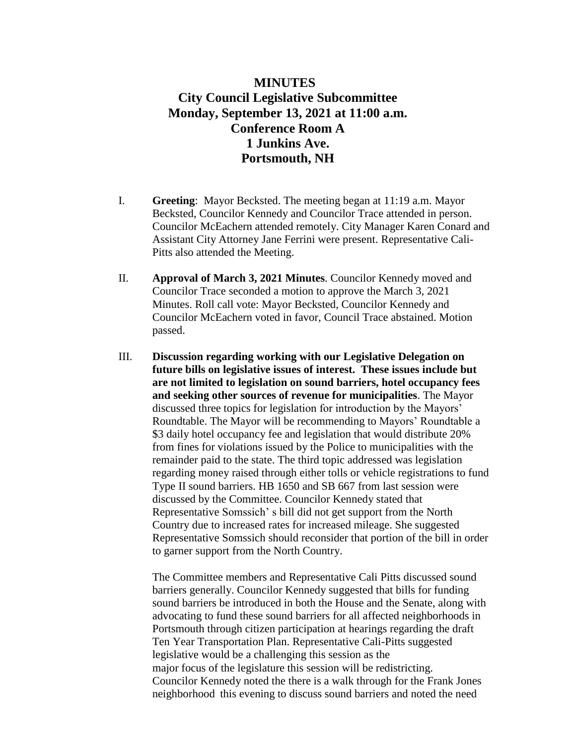## **MINUTES City Council Legislative Subcommittee Monday, September 13, 2021 at 11:00 a.m. Conference Room A 1 Junkins Ave. Portsmouth, NH**

- I. **Greeting**: Mayor Becksted. The meeting began at 11:19 a.m. Mayor Becksted, Councilor Kennedy and Councilor Trace attended in person. Councilor McEachern attended remotely. City Manager Karen Conard and Assistant City Attorney Jane Ferrini were present. Representative Cali-Pitts also attended the Meeting.
- II. **Approval of March 3, 2021 Minutes**. Councilor Kennedy moved and Councilor Trace seconded a motion to approve the March 3, 2021 Minutes. Roll call vote: Mayor Becksted, Councilor Kennedy and Councilor McEachern voted in favor, Council Trace abstained. Motion passed.
- III. **Discussion regarding working with our Legislative Delegation on future bills on legislative issues of interest. These issues include but are not limited to legislation on sound barriers, hotel occupancy fees and seeking other sources of revenue for municipalities**. The Mayor discussed three topics for legislation for introduction by the Mayors' Roundtable. The Mayor will be recommending to Mayors' Roundtable a \$3 daily hotel occupancy fee and legislation that would distribute 20% from fines for violations issued by the Police to municipalities with the remainder paid to the state. The third topic addressed was legislation regarding money raised through either tolls or vehicle registrations to fund Type II sound barriers. HB 1650 and SB 667 from last session were discussed by the Committee. Councilor Kennedy stated that Representative Somssich' s bill did not get support from the North Country due to increased rates for increased mileage. She suggested Representative Somssich should reconsider that portion of the bill in order to garner support from the North Country.

The Committee members and Representative Cali Pitts discussed sound barriers generally. Councilor Kennedy suggested that bills for funding sound barriers be introduced in both the House and the Senate, along with advocating to fund these sound barriers for all affected neighborhoods in Portsmouth through citizen participation at hearings regarding the draft Ten Year Transportation Plan. Representative Cali-Pitts suggested legislative would be a challenging this session as the major focus of the legislature this session will be redistricting. Councilor Kennedy noted the there is a walk through for the Frank Jones neighborhood this evening to discuss sound barriers and noted the need